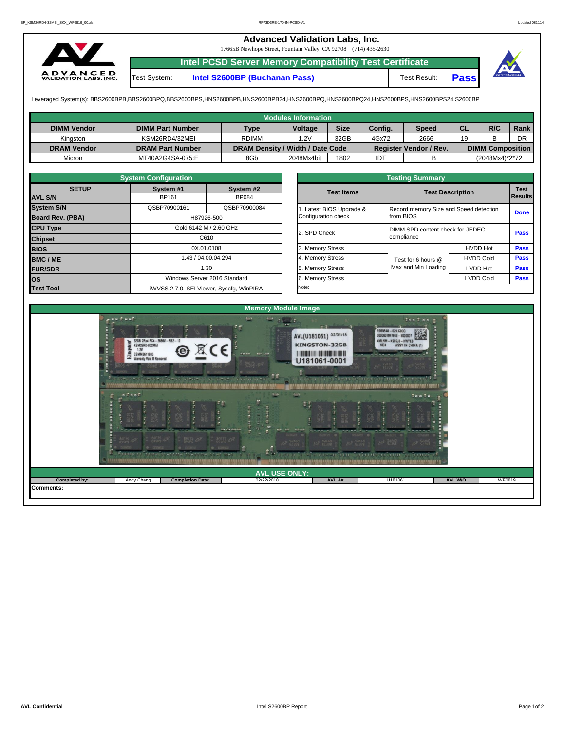## **Advanced Validation Labs, Inc.**

17665B Newhope Street, Fountain Valley, CA 92708 (714) 435-2630



**Intel PCSD Server Memory Compatibility Test Certificate** Test System: **Intel S2600BP (Buchanan Pass)** Test Result: **Pass**



Leveraged System(s): BBS2600BPB,BBS2600BPQ,BBS2600BPS,HNS2600BPB,HNS2600BPB24,HNS2600BPQ,HNS2600BPQ24,HNS2600BPS,HNS2600BPS24,S2600BP

|                    |                         |                                  | <b>Modules Information</b> |             |         |                               |           |                         |      |
|--------------------|-------------------------|----------------------------------|----------------------------|-------------|---------|-------------------------------|-----------|-------------------------|------|
| <b>DIMM Vendor</b> | <b>DIMM Part Number</b> | <b>Type</b>                      | <b>Voltage</b>             | <b>Size</b> | Config. | Speed                         | <b>CL</b> | R/C                     | Rank |
| Kinaston           | KSM26RD4/32MEI          | <b>RDIMM</b>                     | 1.2V                       | 32GB        | 4Gx72   | 2666                          | 19        |                         | DR   |
| <b>DRAM Vendor</b> | <b>DRAM Part Number</b> | DRAM Density / Width / Date Code |                            |             |         | <b>Register Vendor / Rev.</b> |           | <b>DIMM Composition</b> |      |
| Micron             | MT40A2G4SA-075:E        | 8Gb                              | 2048Mx4bit                 | 1802        | IDT     |                               |           | (2048Mx4)*2*72          |      |

|                         | <b>System Configuration</b> |                                         |  |                       | <b>Testing Summary</b>           |                                        |             |  |  |  |
|-------------------------|-----------------------------|-----------------------------------------|--|-----------------------|----------------------------------|----------------------------------------|-------------|--|--|--|
| <b>SETUP</b>            | System #1                   | System #2                               |  | <b>Test Items</b>     |                                  | <b>Test Description</b>                |             |  |  |  |
| <b>AVL S/N</b>          | BP161                       | <b>BP084</b>                            |  |                       |                                  |                                        |             |  |  |  |
| <b>System S/N</b>       | QSBP70900161                | QSBP70900084                            |  | Latest BIOS Upgrade & |                                  | Record memory Size and Speed detection |             |  |  |  |
| <b>Board Rev. (PBA)</b> |                             | H87926-500                              |  | Configuration check   | from BIOS                        |                                        |             |  |  |  |
| <b>CPU Type</b>         |                             | Gold 6142 M / 2.60 GHz                  |  | 2. SPD Check          | DIMM SPD content check for JEDEC |                                        |             |  |  |  |
| <b>Chipset</b>          | C610                        |                                         |  |                       | compliance                       | <b>Pass</b>                            |             |  |  |  |
| <b>BIOS</b>             |                             | 0X.01.0108                              |  | 3. Memory Stress      |                                  | <b>HVDD Hot</b>                        | <b>Pass</b> |  |  |  |
| <b>BMC/ME</b>           |                             | 1.43 / 04.00.04.294                     |  | 4. Memory Stress      | Test for 6 hours @               | <b>HVDD Cold</b>                       | <b>Pass</b> |  |  |  |
| <b>FUR/SDR</b>          |                             | 1.30                                    |  | 5. Memory Stress      | Max and Min Loading              | <b>LVDD Hot</b>                        | <b>Pass</b> |  |  |  |
| lOS.                    |                             | Windows Server 2016 Standard            |  | 6. Memory Stress      |                                  | <b>LVDD Cold</b>                       | <b>Pass</b> |  |  |  |
| <b>Test Tool</b>        |                             | iWVSS 2.7.0, SELViewer, Syscfq, WinPIRA |  | Note:                 |                                  |                                        |             |  |  |  |

|              | <b>System Configuration</b> |                                    | <b>Testing Summary</b> |                     |                                        |                |  |  |  |  |  |  |  |
|--------------|-----------------------------|------------------------------------|------------------------|---------------------|----------------------------------------|----------------|--|--|--|--|--|--|--|
| <b>SETUP</b> | System #1                   | System #2                          | <b>Test Items</b>      |                     | <b>Test Description</b>                |                |  |  |  |  |  |  |  |
|              | BP161                       | <b>BP084</b>                       |                        |                     |                                        | <b>Results</b> |  |  |  |  |  |  |  |
|              | QSBP70900161                | QSBP70900084                       | Latest BIOS Upgrade &  |                     | Record memory Size and Speed detection |                |  |  |  |  |  |  |  |
| PBA)         |                             | H87926-500                         | Configuration check    | from BIOS           |                                        | <b>Done</b>    |  |  |  |  |  |  |  |
|              |                             | Gold 6142 M / 2.60 GHz             | 2. SPD Check           |                     | DIMM SPD content check for JEDEC       |                |  |  |  |  |  |  |  |
|              | C610                        |                                    |                        | compliance          |                                        |                |  |  |  |  |  |  |  |
|              |                             | 0X.01.0108                         | 3. Memory Stress       |                     | <b>HVDD Hot</b>                        | Pass           |  |  |  |  |  |  |  |
|              |                             | 1.43 / 04.00.04.294                | 4. Memory Stress       | Test for 6 hours @  | <b>HVDD Cold</b>                       |                |  |  |  |  |  |  |  |
|              |                             | 1.30                               | 5. Memory Stress       | Max and Min Loading | LVDD Hot                               | Pass           |  |  |  |  |  |  |  |
|              |                             | Windows Server 2016 Standard       | 6. Memory Stress       |                     | <b>LVDD Cold</b>                       | <b>Pass</b>    |  |  |  |  |  |  |  |
|              |                             | iMVSS 270 SELViewer Svecta WinPIRA | Note:                  |                     |                                        |                |  |  |  |  |  |  |  |